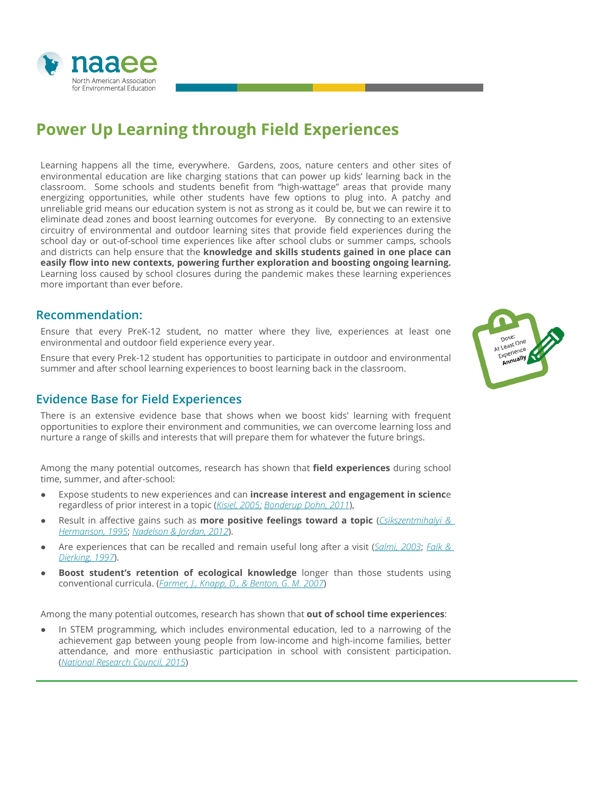

# **Power Up Learning through Field Experiences**

Learning happens all the time, everywhere. Gardens, zoos, nature centers and other sites of environmental education are like charging stations that can power up kids' learning back in the classroom. Some schools and students benefit from "high-wattage" areas that provide many energizing opportunities, while other students have few options to plug into. A patchy and unreliable grid means our education system is not as strong as it could be, but we can rewire it to eliminate dead zones and boost learning outcomes for everyone. By connecting to an extensive circuitry of environmental and outdoor learning sites that provide field experiences during the school day or out-of-school time experiences like after school clubs or summer camps, schools and districts can help ensure that the **knowledge and skills students gained in one place can easily flow into new contexts, powering further exploration and boosting ongoing learning.** Learning loss caused by school closures during the pandemic makes these learning experiences more important than ever before.

#### **Recommendation:**

Ensure that every PreK-12 student, no matter where they live, experiences at least one environmental and outdoor field experience every year.

Ensure that every Prek-12 student has opportunities to participate in outdoor and environmental summer and after school learning experiences to boost learning back in the classroom.

### **Evidence Base for Field Experiences**

There is an extensive evidence base that shows when we boost kids' learning with frequent opportunities to explore their environment and communities, we can overcome learning loss and nurture a range of skills and interests that will prepare them for whatever the future brings.

Among the many potential outcomes, research has shown that **field experiences** during school time, summer, and after-school:

- Expose students to new experiences and can **increase interest and engagement in scienc**e regardless of prior interest in a topic (*[Kisiel, 2005;](https://onlinelibrary.wiley.com/doi/abs/10.1002/sce.20085) [Bonderup Dohn, 2011](https://www.informalscience.org/situational-interest-high-school-students-who-visit-aquarium)*),
- Result in affective gains such as **more positive feelings toward a topic** (*[Csikszentmihalyi &](http://www.sciepub.com/reference/43518)  [Hermanson, 1995](http://www.sciepub.com/reference/43518)*; *[Nadelson & Jordan, 2012](https://www.researchgate.net/publication/241739570_Student_Attitudes_Toward_and_Recall_of_Outside_Day_An_Environmental_Science_Field_Trip)*).
- Are experiences that can be recalled and remain useful long after a visit (*[Salmi, 2003](https://researchportal.helsinki.fi/en/publications/science-centres-as-learning-laboratories-experiences-of-heureka-t)*; *[Falk &](https://onlinelibrary.wiley.com/doi/abs/10.1111/j.2151-6952.1997.tb01304.x)  [Dierking, 1997](https://onlinelibrary.wiley.com/doi/abs/10.1111/j.2151-6952.1997.tb01304.x)*).
- **Boost student's retention of ecological knowledge** longer than those students using conventional curricula. (*[Farmer, J., Knapp, D., & Benton, G. M. 2007](https://www.researchgate.net/publication/254345087_An_Elementary_School_Environmental_Education_Field_Trip_Long-Term_Effects_on_Ecological_and_Environmental_Knowledge_and_Attitude_Development)*)

Among the many potential outcomes, research has shown that **out of school time experiences**:

In STEM programming, which includes environmental education, led to a narrowing of the achievement gap between young people from low-income and high-income families, better attendance, and more enthusiastic participation in school with consistent participation. (*[National Research Council, 2015](https://www.nap.edu/catalog/21740/identifying-and-supporting-productive-stem-programs-in-out-of-school-settings)*)